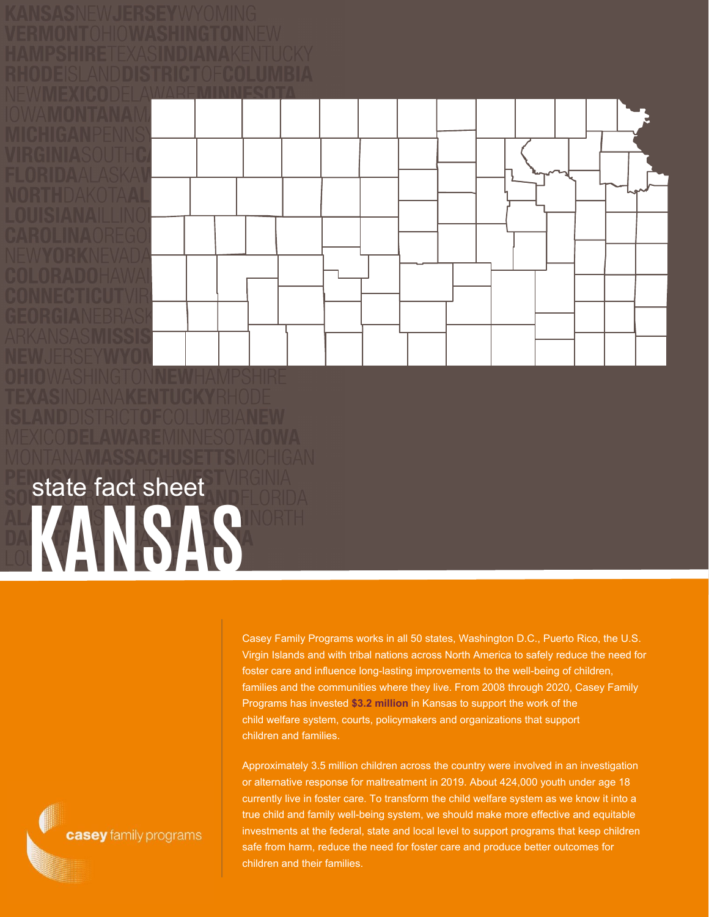## **KANSAS** state fact sheet

Casey Family Programs works in all 50 states, Washington D.C., Puerto Rico, the U.S. Virgin Islands and with tribal nations across North America to safely reduce the need for foster care and influence long-lasting improvements to the well-being of children, families and the communities where they live. From 2008 through 2020, Casey Family Programs has invested **\$3.2 million** in Kansas to support the work of the child welfare system, courts, policymakers and organizations that support children and families.

Approximately 3.5 million children across the country were involved in an investigation or alternative response for maltreatment in 2019. About 424,000 youth under age 18 currently live in foster care. To transform the child welfare system as we know it into a true child and family well-being system, we should make more effective and equitable investments at the federal, state and local level to support programs that keep children safe from harm, reduce the need for foster care and produce better outcomes for children and their families.

casey family programs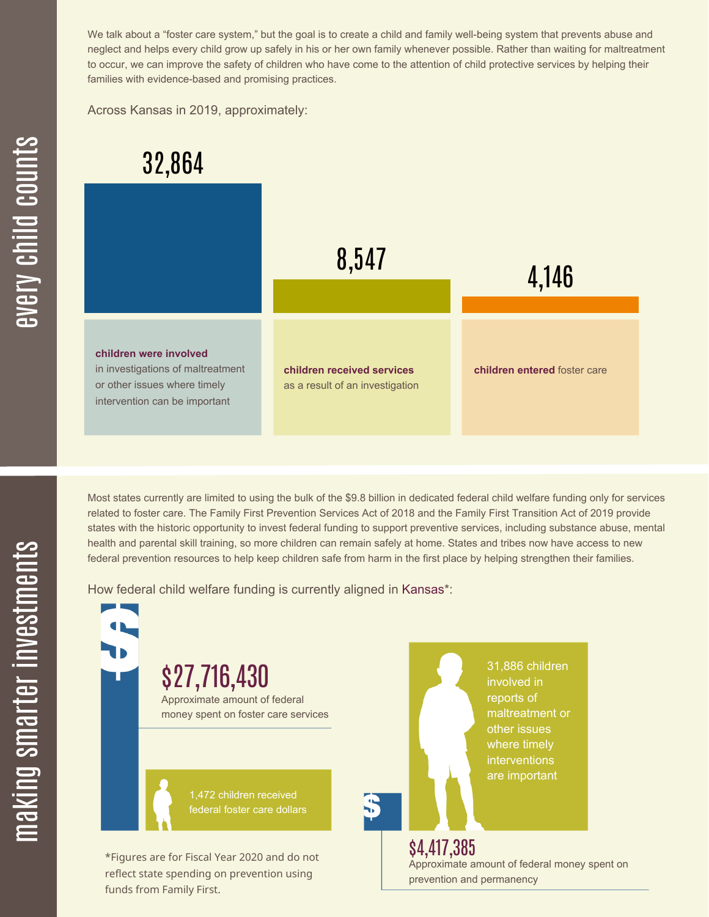We talk about a "foster care system," but the goal is to create a child and family well-being system that prevents abuse and neglect and helps every child grow up safely in his or her own family whenever possible. Rather than waiting for maltreatment to occur, we can improve the safety of children who have come to the attention of child protective services by helping their families with evidence-based and promising practices.

Across Kansas in 2019, approximately:



Most states currently are limited to using the bulk of the \$9.8 billion in dedicated federal child welfare funding only for services related to foster care. The Family First Prevention Services Act of 2018 and the Family First Transition Act of 2019 provide states with the historic opportunity to invest federal funding to support preventive services, including substance abuse, mental health and parental skill training, so more children can remain safely at home. States and tribes now have access to new federal prevention resources to help keep children safe from harm in the first place by helping strengthen their families.

How federal child welfare funding is currently aligned in Kansas\*:

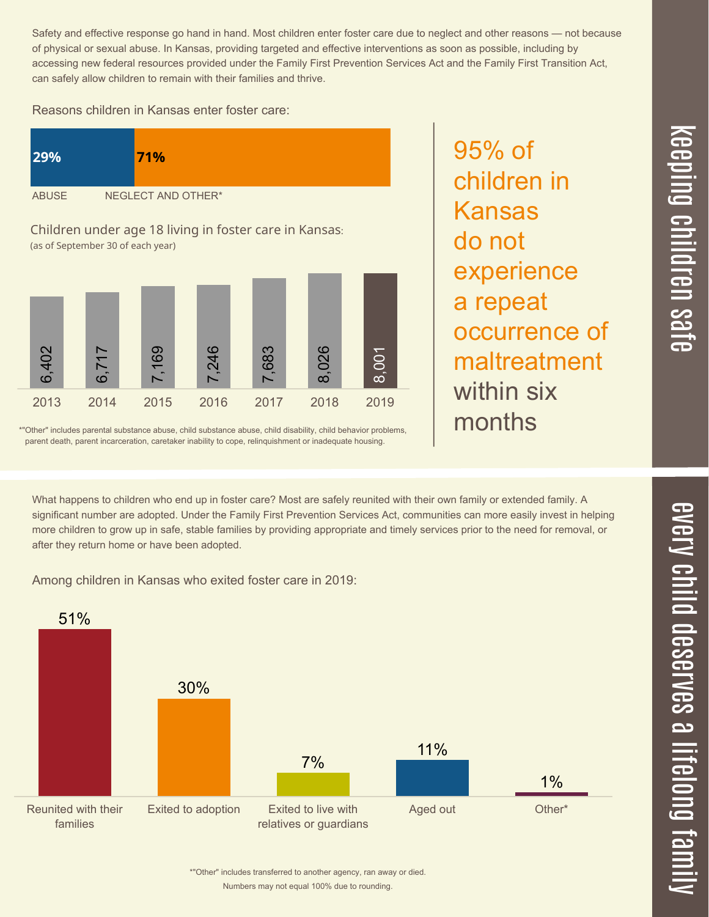Safety and effective response go hand in hand. Most children enter foster care due to neglect and other reasons — not because of physical or sexual abuse. In Kansas, providing targeted and effective interventions as soon as possible, including by accessing new federal resources provided under the Family First Prevention Services Act and the Family First Transition Act, can safely allow children to remain with their families and thrive.

## Reasons children in Kansas enter foster care:





\*"Other" includes parental substance abuse, child substance abuse, child disability, child behavior problems, parent death, parent incarceration, caretaker inability to cope, relinquishment or inadequate housing.

95% of children in Kansas do not experience a repeat occurrence of maltreatment within six months

 $\overline{\mathbf \Theta}$  $\overline{\mathbf{C}}$ <u>pin</u>  $\overline{\mathbf{C}}$  $\overline{\mathbf{C}}$  $\equiv$  $\overline{\mathbf{c}}$  $\overline{\phantom{0}}$  $\boldsymbol{\mathcal{O}}$ a  $\overrightarrow{\mathbf{e}}$ 

 $\overline{\phantom{1}}$ 

What happens to children who end up in foster care? Most are safely reunited with their own family or extended family. A significant number are adopted. Under the Family First Prevention Services Act, communities can more easily invest in helping more children to grow up in safe, stable families by providing appropriate and timely services prior to the need for removal, or

Among children in Kansas who exited foster care in 2019:

after they return home or have been adopted.